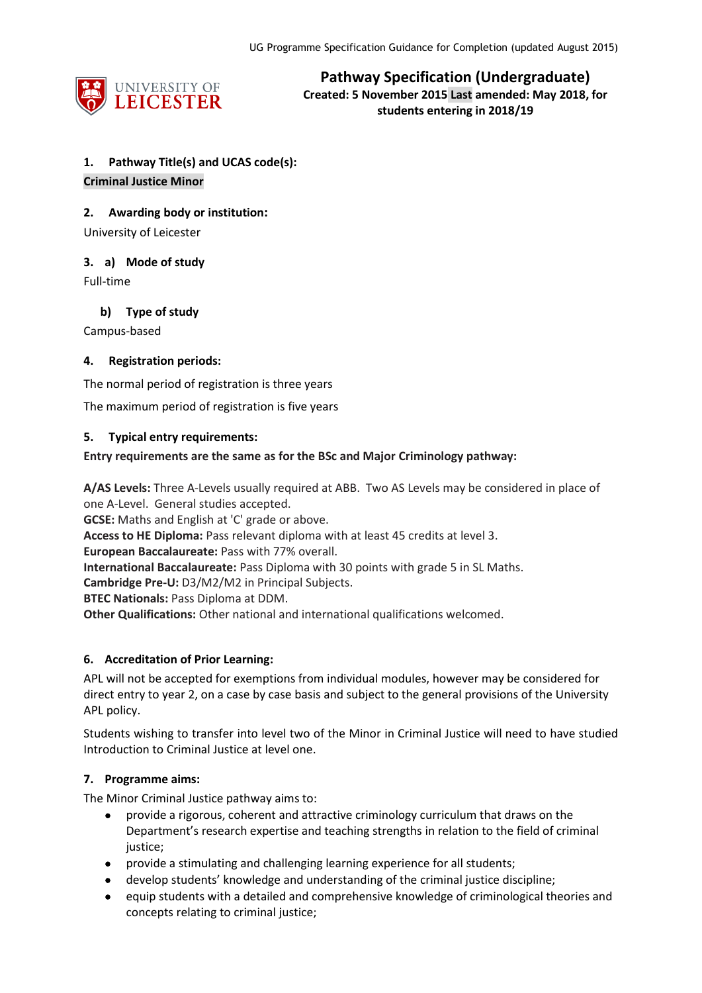

**Pathway Specification (Undergraduate) Created: 5 November 2015 Last amended: May 2018, for students entering in 2018/19**

# **1. Pathway Title(s) and UCAS code(s):**

### **Criminal Justice Minor**

## **2. Awarding body or institution:**

University of Leicester

## **3. a) Mode of study**

Full-time

## **b) Type of study**

Campus-based

## **4. Registration periods:**

The normal period of registration is three years

The maximum period of registration is five years

### **5. Typical entry requirements:**

## **Entry requirements are the same as for the BSc and Major Criminology pathway:**

**A/AS Levels:** Three A-Levels usually required at ABB. Two AS Levels may be considered in place of one A-Level. General studies accepted.

**GCSE:** Maths and English at 'C' grade or above.

**Access to HE Diploma:** Pass relevant diploma with at least 45 credits at level 3.

**European Baccalaureate:** Pass with 77% overall.

**International Baccalaureate:** Pass Diploma with 30 points with grade 5 in SL Maths.

**Cambridge Pre-U:** D3/M2/M2 in Principal Subjects.

**BTEC Nationals:** Pass Diploma at DDM.

**Other Qualifications:** Other national and international qualifications welcomed.

## **6. Accreditation of Prior Learning:**

APL will not be accepted for exemptions from individual modules, however may be considered for direct entry to year 2, on a case by case basis and subject to the general provisions of the University APL policy.

Students wishing to transfer into level two of the Minor in Criminal Justice will need to have studied Introduction to Criminal Justice at level one.

## **7. Programme aims:**

The Minor Criminal Justice pathway aims to:

- provide a rigorous, coherent and attractive criminology curriculum that draws on the Department's research expertise and teaching strengths in relation to the field of criminal justice;
- provide a stimulating and challenging learning experience for all students;
- develop students' knowledge and understanding of the criminal justice discipline;
- equip students with a detailed and comprehensive knowledge of criminological theories and concepts relating to criminal justice;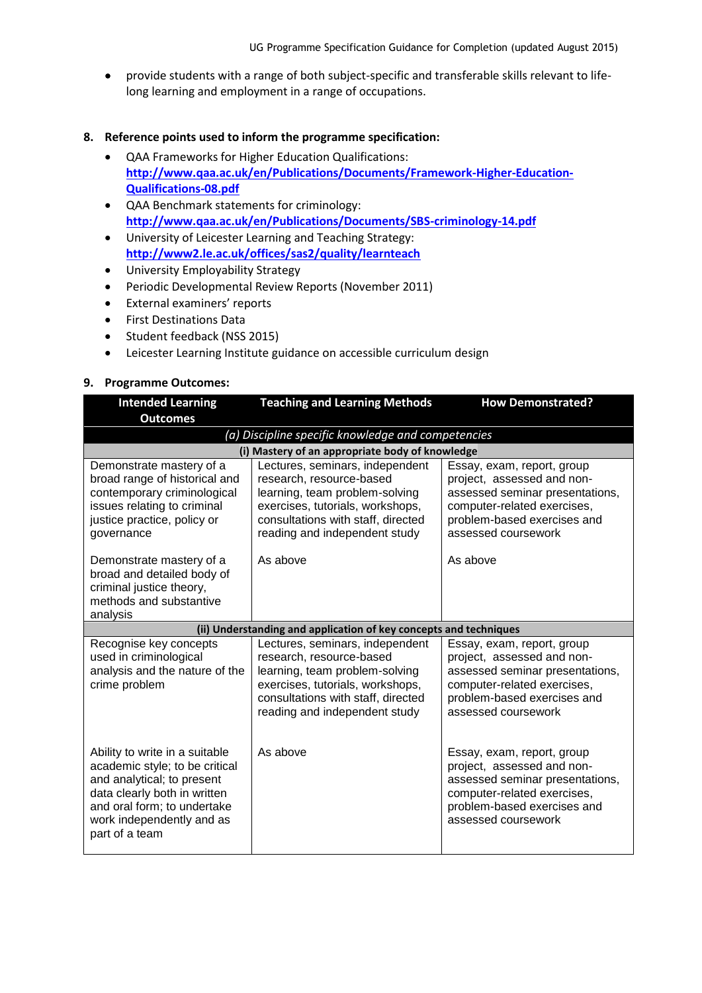provide students with a range of both subject-specific and transferable skills relevant to lifelong learning and employment in a range of occupations.

#### **8. Reference points used to inform the programme specification:**

- QAA Frameworks for Higher Education Qualifications: **[http://www.qaa.ac.uk/en/Publications/Documents/Framework-Higher-Education-](http://www.qaa.ac.uk/en/Publications/Documents/Framework-Higher-Education-Qualifications-08.pdf)[Qualifications-08.pdf](http://www.qaa.ac.uk/en/Publications/Documents/Framework-Higher-Education-Qualifications-08.pdf)**
- QAA Benchmark statements for criminology: **<http://www.qaa.ac.uk/en/Publications/Documents/SBS-criminology-14.pdf>**
- University of Leicester Learning and Teaching Strategy: **<http://www2.le.ac.uk/offices/sas2/quality/learnteach>**
- University Employability Strategy
- Periodic Developmental Review Reports (November 2011)
- External examiners' reports
- **•** First Destinations Data
- Student feedback (NSS 2015)
- Leicester Learning Institute guidance on accessible curriculum design

#### **9. Programme Outcomes:**

| <b>Intended Learning</b><br><b>Outcomes</b>                                                                                                                                                                  | <b>Teaching and Learning Methods</b>                                                                                                                                                                     | <b>How Demonstrated?</b>                                                                                                                                                         |  |
|--------------------------------------------------------------------------------------------------------------------------------------------------------------------------------------------------------------|----------------------------------------------------------------------------------------------------------------------------------------------------------------------------------------------------------|----------------------------------------------------------------------------------------------------------------------------------------------------------------------------------|--|
|                                                                                                                                                                                                              | (a) Discipline specific knowledge and competencies                                                                                                                                                       |                                                                                                                                                                                  |  |
|                                                                                                                                                                                                              | (i) Mastery of an appropriate body of knowledge                                                                                                                                                          |                                                                                                                                                                                  |  |
| Demonstrate mastery of a<br>broad range of historical and<br>contemporary criminological<br>issues relating to criminal<br>justice practice, policy or<br>governance                                         | Lectures, seminars, independent<br>research, resource-based<br>learning, team problem-solving<br>exercises, tutorials, workshops,<br>consultations with staff, directed<br>reading and independent study | Essay, exam, report, group<br>project, assessed and non-<br>assessed seminar presentations,<br>computer-related exercises,<br>problem-based exercises and<br>assessed coursework |  |
| Demonstrate mastery of a<br>broad and detailed body of<br>criminal justice theory,<br>methods and substantive<br>analysis                                                                                    | As above                                                                                                                                                                                                 | As above                                                                                                                                                                         |  |
| (ii) Understanding and application of key concepts and techniques                                                                                                                                            |                                                                                                                                                                                                          |                                                                                                                                                                                  |  |
| Recognise key concepts<br>used in criminological<br>analysis and the nature of the<br>crime problem                                                                                                          | Lectures, seminars, independent<br>research, resource-based<br>learning, team problem-solving<br>exercises, tutorials, workshops,<br>consultations with staff, directed<br>reading and independent study | Essay, exam, report, group<br>project, assessed and non-<br>assessed seminar presentations,<br>computer-related exercises,<br>problem-based exercises and<br>assessed coursework |  |
| Ability to write in a suitable<br>academic style; to be critical<br>and analytical; to present<br>data clearly both in written<br>and oral form; to undertake<br>work independently and as<br>part of a team | As above                                                                                                                                                                                                 | Essay, exam, report, group<br>project, assessed and non-<br>assessed seminar presentations,<br>computer-related exercises,<br>problem-based exercises and<br>assessed coursework |  |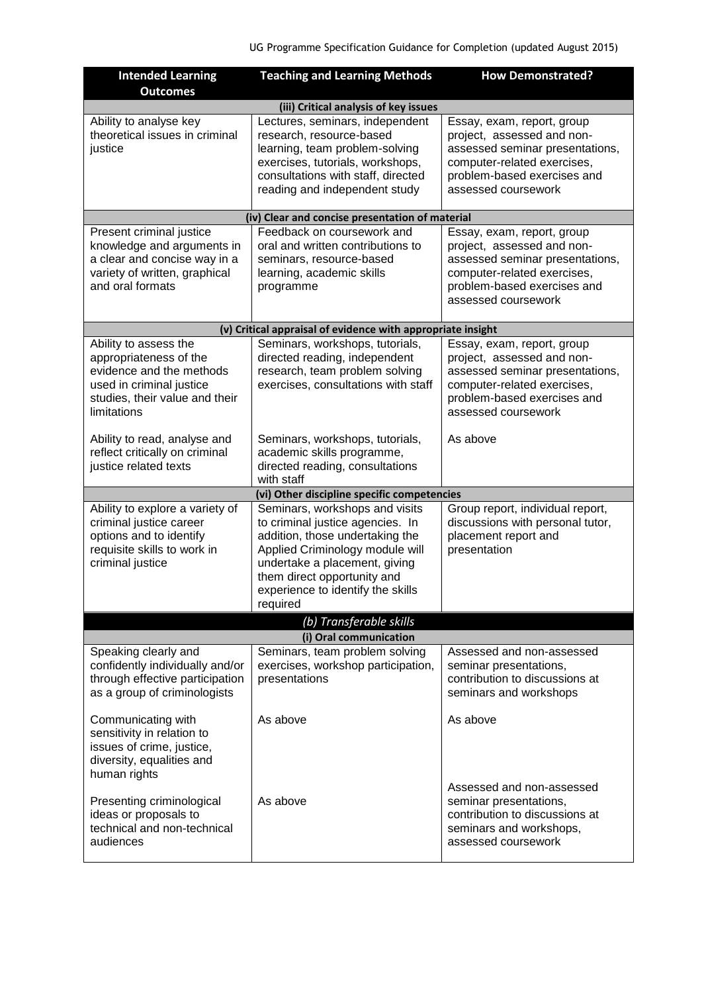| <b>Intended Learning</b><br><b>Outcomes</b>                                                                                                              | <b>Teaching and Learning Methods</b>                                                                                                                                                                                                                      | <b>How Demonstrated?</b>                                                                                                                                                         |  |  |
|----------------------------------------------------------------------------------------------------------------------------------------------------------|-----------------------------------------------------------------------------------------------------------------------------------------------------------------------------------------------------------------------------------------------------------|----------------------------------------------------------------------------------------------------------------------------------------------------------------------------------|--|--|
|                                                                                                                                                          | (iii) Critical analysis of key issues                                                                                                                                                                                                                     |                                                                                                                                                                                  |  |  |
| Ability to analyse key<br>theoretical issues in criminal<br>justice                                                                                      | Lectures, seminars, independent<br>research, resource-based<br>learning, team problem-solving<br>exercises, tutorials, workshops,<br>consultations with staff, directed<br>reading and independent study                                                  | Essay, exam, report, group<br>project, assessed and non-<br>assessed seminar presentations,<br>computer-related exercises,<br>problem-based exercises and<br>assessed coursework |  |  |
|                                                                                                                                                          | (iv) Clear and concise presentation of material                                                                                                                                                                                                           |                                                                                                                                                                                  |  |  |
| Present criminal justice<br>knowledge and arguments in<br>a clear and concise way in a<br>variety of written, graphical<br>and oral formats              | Feedback on coursework and<br>oral and written contributions to<br>seminars, resource-based<br>learning, academic skills<br>programme                                                                                                                     | Essay, exam, report, group<br>project, assessed and non-<br>assessed seminar presentations,<br>computer-related exercises,<br>problem-based exercises and<br>assessed coursework |  |  |
|                                                                                                                                                          | (v) Critical appraisal of evidence with appropriate insight                                                                                                                                                                                               |                                                                                                                                                                                  |  |  |
| Ability to assess the<br>appropriateness of the<br>evidence and the methods<br>used in criminal justice<br>studies, their value and their<br>limitations | Seminars, workshops, tutorials,<br>directed reading, independent<br>research, team problem solving<br>exercises, consultations with staff                                                                                                                 | Essay, exam, report, group<br>project, assessed and non-<br>assessed seminar presentations,<br>computer-related exercises,<br>problem-based exercises and<br>assessed coursework |  |  |
| Ability to read, analyse and<br>reflect critically on criminal<br>justice related texts                                                                  | Seminars, workshops, tutorials,<br>academic skills programme,<br>directed reading, consultations<br>with staff                                                                                                                                            | As above                                                                                                                                                                         |  |  |
|                                                                                                                                                          | (vi) Other discipline specific competencies                                                                                                                                                                                                               |                                                                                                                                                                                  |  |  |
| Ability to explore a variety of<br>criminal justice career<br>options and to identify<br>requisite skills to work in<br>criminal justice                 | Seminars, workshops and visits<br>to criminal justice agencies. In<br>addition, those undertaking the<br>Applied Criminology module will<br>undertake a placement, giving<br>them direct opportunity and<br>experience to identify the skills<br>required | Group report, individual report,<br>discussions with personal tutor,<br>placement report and<br>presentation                                                                     |  |  |
| (b) Transferable skills                                                                                                                                  |                                                                                                                                                                                                                                                           |                                                                                                                                                                                  |  |  |
| (i) Oral communication                                                                                                                                   |                                                                                                                                                                                                                                                           |                                                                                                                                                                                  |  |  |
| Speaking clearly and<br>confidently individually and/or<br>through effective participation<br>as a group of criminologists                               | Seminars, team problem solving<br>exercises, workshop participation,<br>presentations                                                                                                                                                                     | Assessed and non-assessed<br>seminar presentations,<br>contribution to discussions at<br>seminars and workshops                                                                  |  |  |
| Communicating with<br>sensitivity in relation to<br>issues of crime, justice,<br>diversity, equalities and<br>human rights                               | As above                                                                                                                                                                                                                                                  | As above                                                                                                                                                                         |  |  |
| Presenting criminological<br>ideas or proposals to<br>technical and non-technical<br>audiences                                                           | As above                                                                                                                                                                                                                                                  | Assessed and non-assessed<br>seminar presentations,<br>contribution to discussions at<br>seminars and workshops,<br>assessed coursework                                          |  |  |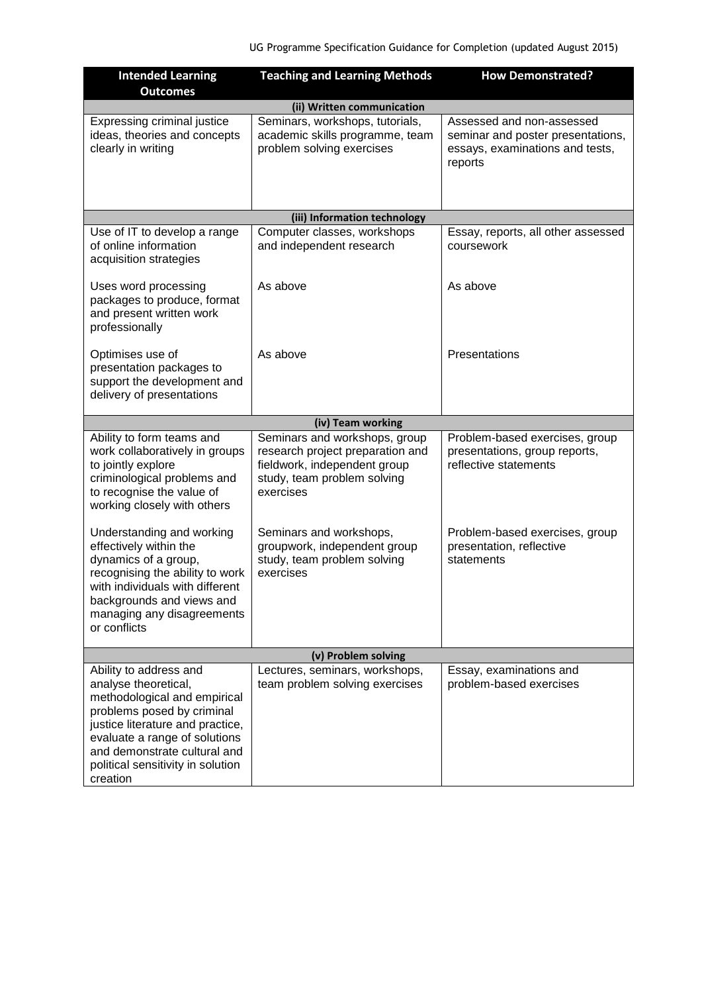| <b>Intended Learning</b><br><b>Outcomes</b>                                                                                                                                                                                                                        | <b>Teaching and Learning Methods</b>                                                                                                          | <b>How Demonstrated?</b>                                                                                     |  |  |  |
|--------------------------------------------------------------------------------------------------------------------------------------------------------------------------------------------------------------------------------------------------------------------|-----------------------------------------------------------------------------------------------------------------------------------------------|--------------------------------------------------------------------------------------------------------------|--|--|--|
| (ii) Written communication                                                                                                                                                                                                                                         |                                                                                                                                               |                                                                                                              |  |  |  |
| <b>Expressing criminal justice</b><br>ideas, theories and concepts<br>clearly in writing                                                                                                                                                                           | Seminars, workshops, tutorials,<br>academic skills programme, team<br>problem solving exercises                                               | Assessed and non-assessed<br>seminar and poster presentations,<br>essays, examinations and tests,<br>reports |  |  |  |
|                                                                                                                                                                                                                                                                    | (iii) Information technology                                                                                                                  |                                                                                                              |  |  |  |
| Use of IT to develop a range<br>of online information<br>acquisition strategies                                                                                                                                                                                    | Computer classes, workshops<br>and independent research                                                                                       | Essay, reports, all other assessed<br>coursework                                                             |  |  |  |
| Uses word processing<br>packages to produce, format<br>and present written work<br>professionally                                                                                                                                                                  | As above                                                                                                                                      | As above                                                                                                     |  |  |  |
| Optimises use of<br>presentation packages to<br>support the development and<br>delivery of presentations                                                                                                                                                           | As above                                                                                                                                      | Presentations                                                                                                |  |  |  |
|                                                                                                                                                                                                                                                                    | (iv) Team working                                                                                                                             |                                                                                                              |  |  |  |
| Ability to form teams and<br>work collaboratively in groups<br>to jointly explore<br>criminological problems and<br>to recognise the value of<br>working closely with others                                                                                       | Seminars and workshops, group<br>research project preparation and<br>fieldwork, independent group<br>study, team problem solving<br>exercises | Problem-based exercises, group<br>presentations, group reports,<br>reflective statements                     |  |  |  |
| Understanding and working<br>effectively within the<br>dynamics of a group,<br>recognising the ability to work<br>with individuals with different<br>backgrounds and views and<br>managing any disagreements<br>or conflicts                                       | Seminars and workshops,<br>groupwork, independent group<br>study, team problem solving<br>exercises                                           | Problem-based exercises, group<br>presentation, reflective<br>statements                                     |  |  |  |
| (v) Problem solving                                                                                                                                                                                                                                                |                                                                                                                                               |                                                                                                              |  |  |  |
| Ability to address and<br>analyse theoretical,<br>methodological and empirical<br>problems posed by criminal<br>justice literature and practice,<br>evaluate a range of solutions<br>and demonstrate cultural and<br>political sensitivity in solution<br>creation | Lectures, seminars, workshops,<br>team problem solving exercises                                                                              | Essay, examinations and<br>problem-based exercises                                                           |  |  |  |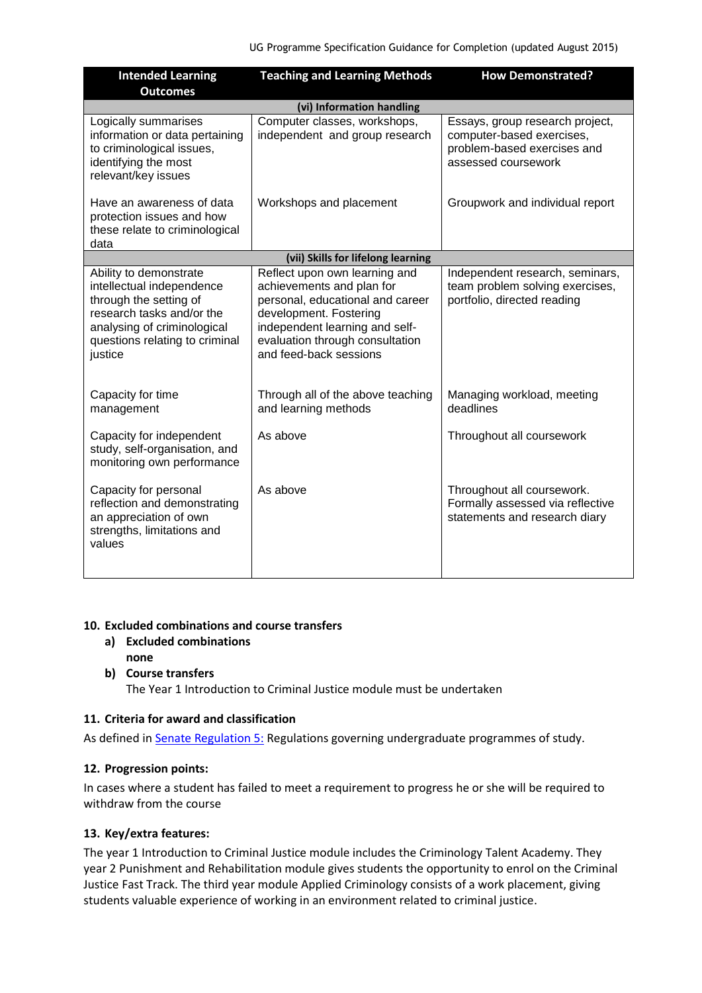| <b>Intended Learning</b><br><b>Outcomes</b>                                                                                                                                            | <b>Teaching and Learning Methods</b>                                                                                                                                                                                    | <b>How Demonstrated?</b>                                                                                           |
|----------------------------------------------------------------------------------------------------------------------------------------------------------------------------------------|-------------------------------------------------------------------------------------------------------------------------------------------------------------------------------------------------------------------------|--------------------------------------------------------------------------------------------------------------------|
|                                                                                                                                                                                        | (vi) Information handling                                                                                                                                                                                               |                                                                                                                    |
| Logically summarises<br>information or data pertaining<br>to criminological issues,<br>identifying the most<br>relevant/key issues                                                     | Computer classes, workshops,<br>independent and group research                                                                                                                                                          | Essays, group research project,<br>computer-based exercises,<br>problem-based exercises and<br>assessed coursework |
| Have an awareness of data<br>protection issues and how<br>these relate to criminological<br>data                                                                                       | Workshops and placement                                                                                                                                                                                                 | Groupwork and individual report                                                                                    |
|                                                                                                                                                                                        | (vii) Skills for lifelong learning                                                                                                                                                                                      |                                                                                                                    |
| Ability to demonstrate<br>intellectual independence<br>through the setting of<br>research tasks and/or the<br>analysing of criminological<br>questions relating to criminal<br>justice | Reflect upon own learning and<br>achievements and plan for<br>personal, educational and career<br>development. Fostering<br>independent learning and self-<br>evaluation through consultation<br>and feed-back sessions | Independent research, seminars,<br>team problem solving exercises,<br>portfolio, directed reading                  |
| Capacity for time<br>management                                                                                                                                                        | Through all of the above teaching<br>and learning methods                                                                                                                                                               | Managing workload, meeting<br>deadlines                                                                            |
| Capacity for independent<br>study, self-organisation, and<br>monitoring own performance                                                                                                | As above                                                                                                                                                                                                                | Throughout all coursework                                                                                          |
| Capacity for personal<br>reflection and demonstrating<br>an appreciation of own<br>strengths, limitations and<br>values                                                                | As above                                                                                                                                                                                                                | Throughout all coursework.<br>Formally assessed via reflective<br>statements and research diary                    |

## **10. Excluded combinations and course transfers**

- **a) Excluded combinations none**
- **b) Course transfers**

The Year 1 Introduction to Criminal Justice module must be undertaken

## **11. Criteria for award and classification**

As defined in **Senate Regulation 5:** Regulations governing undergraduate programmes of study.

# **12. Progression points:**

In cases where a student has failed to meet a requirement to progress he or she will be required to withdraw from the course

# **13. Key/extra features:**

The year 1 Introduction to Criminal Justice module includes the Criminology Talent Academy. They year 2 Punishment and Rehabilitation module gives students the opportunity to enrol on the Criminal Justice Fast Track. The third year module Applied Criminology consists of a work placement, giving students valuable experience of working in an environment related to criminal justice.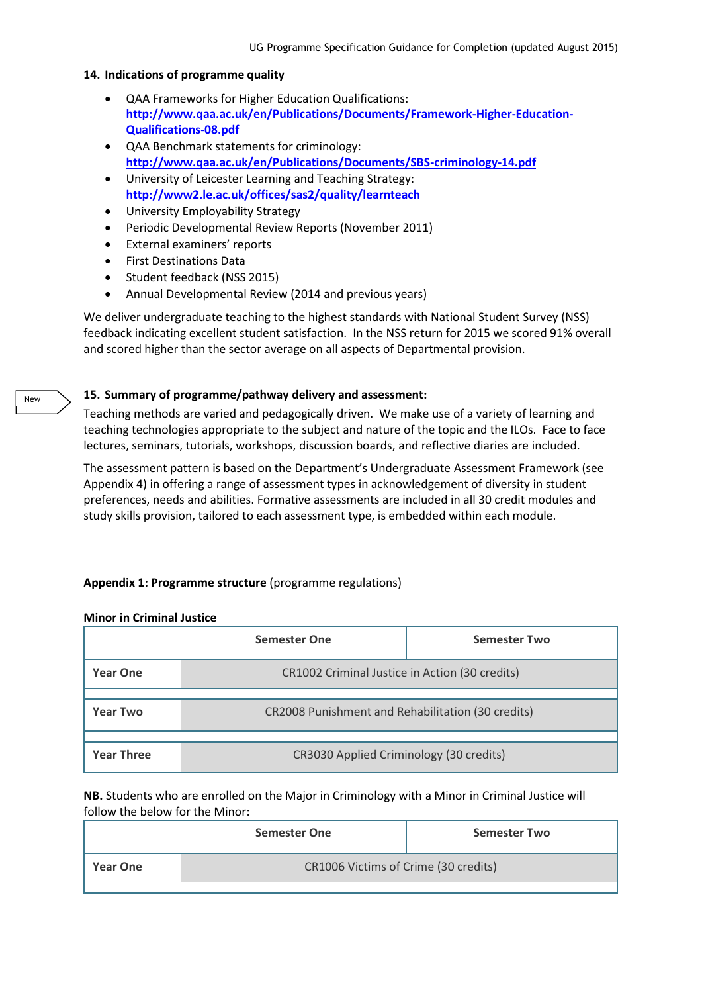#### **14. Indications of programme quality**

- QAA Frameworks for Higher Education Qualifications: **[http://www.qaa.ac.uk/en/Publications/Documents/Framework-Higher-Education-](http://www.qaa.ac.uk/en/Publications/Documents/Framework-Higher-Education-Qualifications-08.pdf)[Qualifications-08.pdf](http://www.qaa.ac.uk/en/Publications/Documents/Framework-Higher-Education-Qualifications-08.pdf)**
- QAA Benchmark statements for criminology: **<http://www.qaa.ac.uk/en/Publications/Documents/SBS-criminology-14.pdf>**
- University of Leicester Learning and Teaching Strategy: **<http://www2.le.ac.uk/offices/sas2/quality/learnteach>**
- University Employability Strategy
- Periodic Developmental Review Reports (November 2011)
- External examiners' reports
- First Destinations Data
- Student feedback (NSS 2015)
- Annual Developmental Review (2014 and previous years)

We deliver undergraduate teaching to the highest standards with National Student Survey (NSS) feedback indicating excellent student satisfaction. In the NSS return for 2015 we scored 91% overall and scored higher than the sector average on all aspects of Departmental provision.

#### **15. Summary of programme/pathway delivery and assessment:**

Teaching methods are varied and pedagogically driven. We make use of a variety of learning and teaching technologies appropriate to the subject and nature of the topic and the ILOs. Face to face lectures, seminars, tutorials, workshops, discussion boards, and reflective diaries are included.

The assessment pattern is based on the Department's Undergraduate Assessment Framework (see Appendix 4) in offering a range of assessment types in acknowledgement of diversity in student preferences, needs and abilities. Formative assessments are included in all 30 credit modules and study skills provision, tailored to each assessment type, is embedded within each module.

#### **Appendix 1: Programme structure** (programme regulations)

|  | <b>Minor in Criminal Justice</b> |  |
|--|----------------------------------|--|
|  |                                  |  |

|                   | <b>Semester One</b>                               | <b>Semester Two</b> |  |
|-------------------|---------------------------------------------------|---------------------|--|
| <b>Year One</b>   | CR1002 Criminal Justice in Action (30 credits)    |                     |  |
| <b>Year Two</b>   | CR2008 Punishment and Rehabilitation (30 credits) |                     |  |
| <b>Year Three</b> | CR3030 Applied Criminology (30 credits)           |                     |  |

**NB.** Students who are enrolled on the Major in Criminology with a Minor in Criminal Justice will follow the below for the Minor:

|                 | <b>Semester One</b>                  | <b>Semester Two</b> |
|-----------------|--------------------------------------|---------------------|
| <b>Year One</b> | CR1006 Victims of Crime (30 credits) |                     |
|                 |                                      |                     |

New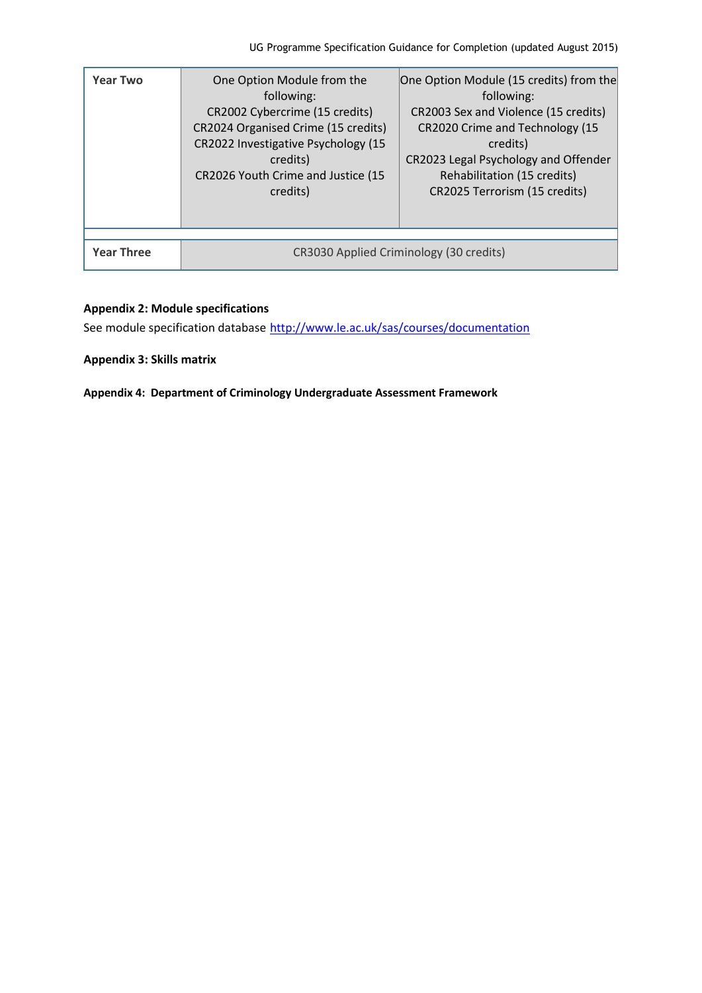| <b>Year Two</b>   | One Option Module from the<br>following:<br>CR2002 Cybercrime (15 credits)<br>CR2024 Organised Crime (15 credits)<br>CR2022 Investigative Psychology (15<br>credits)<br>CR2026 Youth Crime and Justice (15<br>credits) | One Option Module (15 credits) from the<br>following:<br>CR2003 Sex and Violence (15 credits)<br>CR2020 Crime and Technology (15<br>credits)<br>CR2023 Legal Psychology and Offender<br>Rehabilitation (15 credits)<br>CR2025 Terrorism (15 credits) |  |
|-------------------|------------------------------------------------------------------------------------------------------------------------------------------------------------------------------------------------------------------------|------------------------------------------------------------------------------------------------------------------------------------------------------------------------------------------------------------------------------------------------------|--|
| <b>Year Three</b> | CR3030 Applied Criminology (30 credits)                                                                                                                                                                                |                                                                                                                                                                                                                                                      |  |

# **Appendix 2: Module specifications**

See module specification database <http://www.le.ac.uk/sas/courses/documentation>

**Appendix 3: Skills matrix**

**Appendix 4: Department of Criminology Undergraduate Assessment Framework**